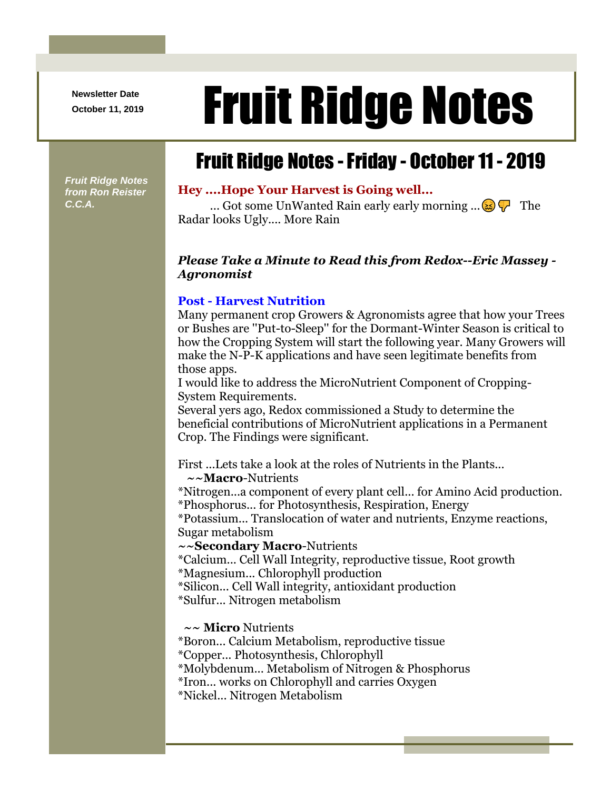**Newsletter Date**

# Newsletter Date **Fruit Ridge Notes**

## Fruit Ridge Notes -Friday - October 11 - 2019

*Fruit Ridge Notes from Ron Reister C.C.A.*

#### **Hey ....Hope Your Harvest is Going well...**

... Got some UnWanted Rain early early morning  $\ldots \otimes \nabla$  The Radar looks Ugly.... More Rain

#### *Please Take a Minute to Read this from Redox--Eric Massey - Agronomist*

#### **Post - Harvest Nutrition**

Many permanent crop Growers & Agronomists agree that how your Trees or Bushes are ''Put-to-Sleep'' for the Dormant-Winter Season is critical to how the Cropping System will start the following year. Many Growers will make the N-P-K applications and have seen legitimate benefits from those apps.

I would like to address the MicroNutrient Component of Cropping-System Requirements.

Several yers ago, Redox commissioned a Study to determine the beneficial contributions of MicroNutrient applications in a Permanent Crop. The Findings were significant.

First ...Lets take a look at the roles of Nutrients in the Plants... **~~Macro**-Nutrients

\*Nitrogen...a component of every plant cell... for Amino Acid production. \*Phosphorus... for Photosynthesis, Respiration, Energy

\*Potassium... Translocation of water and nutrients, Enzyme reactions, Sugar metabolism

**~~Secondary Macro**-Nutrients

\*Calcium... Cell Wall Integrity, reproductive tissue, Root growth \*Magnesium... Chlorophyll production

\*Silicon... Cell Wall integrity, antioxidant production

\*Sulfur... Nitrogen metabolism

**~~ Micro** Nutrients

\*Boron... Calcium Metabolism, reproductive tissue

\*Copper... Photosynthesis, Chlorophyll

\*Molybdenum... Metabolism of Nitrogen & Phosphorus

\*Iron... works on Chlorophyll and carries Oxygen

\*Nickel... Nitrogen Metabolism